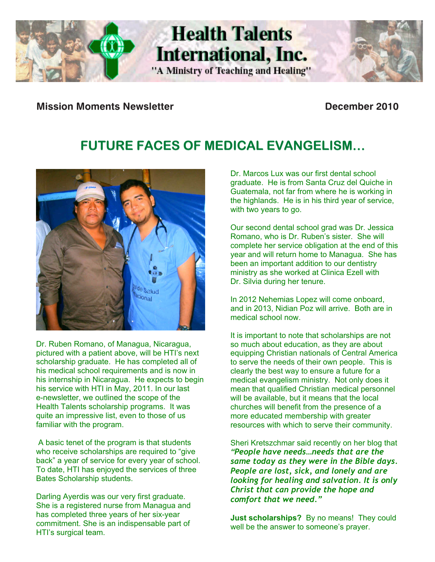

j

**Mission Moments Newsletter December 2010** 

# **FUTURE FACES OF MEDICAL EVANGELISM…**

**Health Talents** 

International, Inc.

"A Ministry of Teaching and Healing"



Dr. Ruben Romano, of Managua, Nicaragua, pictured with a patient above, will be HTI's next potared with a patient above, will be rivine held<br>scholarship graduate. He has completed all of opholatorily graduate. The fias completed all of his medical school requirements and is now in his internship in Nicaragua. He expects to begin his service with HTI in May, 2011. In our last e-newsletter, we outlined the scope of the Health Talents scholarship programs. It was quite an impressive list, even to those of us familiar with the program.

A basic tenet of the program is that students Sheri Kretszchmar said recently on her blog who receive scholarships are required to "give back" a year of service for every year of school. To date, HTI has enjoyed the services of three Bates Scholarship students.

Darling Ayerdis was our very first graduate. She is a registered nurse from Managua and has completed three years of her six-year commitment. She is an indispensable part of HTI's surgical team.

Dr. Marcos Lux was our first dental school graduate. He is from Santa Cruz del Quiche in Guatemala, not far from where he is working in the highlands. He is in his third year of service, with two years to go.

Our second dental school grad was Dr. Jessica Romano, who is Dr. Ruben's sister. She will complete her service obligation at the end of this year and will return home to Managua. She has been an important addition to our dentistry ministry as she worked at Clinica Ezell with Dr. Silvia during her tenure.

In 2012 Nehemias Lopez will come onboard, and in 2013, Nidian Poz will arrive. Both are in medical school now.

It is important to note that scholarships are not so much about education, as they are about equipping Christian nationals of Central America to serve the needs of their own people. This is clearly the best way to ensure a future for a medical evangelism ministry. Not only does it mean that qualified Christian medical personnel will be available, but it means that the local churches will benefit from the presence of a more educated membership with greater resources with which to serve their community.

Sheri Kretszchmar said recently on her blog that *"People have needs…needs that are the same today as they were in the Bible days. People are lost, sick, and lonely and are looking for healing and salvation. It is only Christ that can provide the hope and comfort that we need."*

**Just scholarships?** By no means! They could well be the answer to someone's prayer.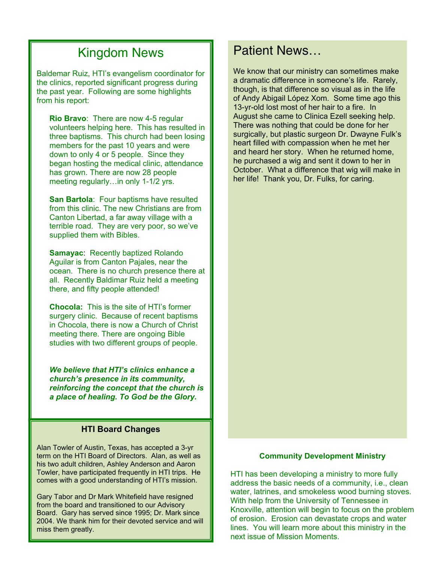# Kingdom News

Baldemar Ruiz, HTI's evangelism coordinator for the clinics, reported significant progress during the past year. Following are some highlights from his report:

Į down to only 4 or 5 people. Since they **Rio Bravo**: There are now 4-5 regular volunteers helping here. This has resulted in three baptisms. This church had been losing members for the past 10 years and were began hosting the medical clinic, attendance has grown. There are now 28 people meeting regularly…in only 1-1/2 yrs.

**San Bartola**: Four baptisms have resulted from this clinic. The new Christians are from Canton Libertad, a far away village with a terrible road. They are very poor, so we've supplied them with Bibles.

**Samayac**: Recently baptized Rolando Aguilar is from Canton Pajales, near the ocean. There is no church presence there at all. Recently Baldimar Ruiz held a meeting there, and fifty people attended!

**Chocola:** This is the site of HTI's former surgery clinic. Because of recent baptisms in Chocola, there is now a Church of Christ meeting there. There are ongoing Bible studies with two different groups of people.

 *We believe that HTI's clinics enhance a church's presence in its community, reinforcing the concept that the church is a place of healing. To God be the Glory.* 

### **HTI Board Changes**

Alan Towler of Austin, Texas, has accepted a 3-yr term on the HTI Board of Directors. Alan, as well as his two adult children, Ashley Anderson and Aaron Towler, have participated frequently in HTI trips. He comes with a good understanding of HTI's mission.

Gary Tabor and Dr Mark Whitefield have resigned from the board and transitioned to our Advisory Board. Gary has served since 1995; Dr. Mark since 2004. We thank him for their devoted service and will miss them greatly.

# Patient News…

 though, is that difference so visual as in the life We know that our ministry can sometimes make a dramatic difference in someone's life. Rarely, of Andy Abigail López Xom. Some time ago this 13-yr-old lost most of her hair to a fire. In August she came to Clinica Ezell seeking help. There was nothing that could be done for her surgically, but plastic surgeon Dr. Dwayne Fulk's heart filled with compassion when he met her and heard her story. When he returned home, he purchased a wig and sent it down to her in October. What a difference that wig will make in her life! Thank you, Dr. Fulks, for caring.

### **Community Development Ministry**

HTI has been developing a ministry to more fully address the basic needs of a community, i.e., clean water, latrines, and smokeless wood burning stoves. With help from the University of Tennessee in Knoxville, attention will begin to focus on the problem of erosion. Erosion can devastate crops and water lines. You will learn more about this ministry in the next issue of Mission Moments.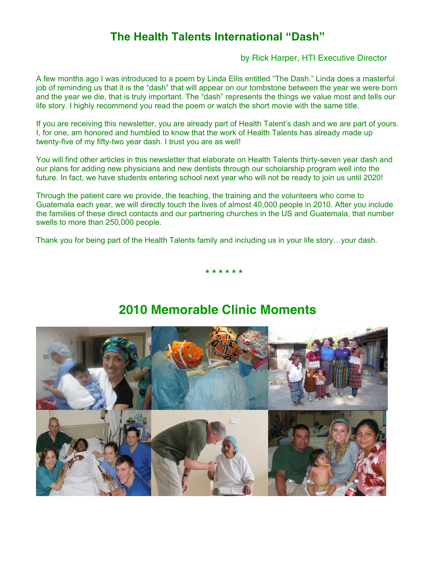## **The Health Talents International "Dash"**

by Rick Harper, HTI Executive Director

A few months ago I was introduced to a poem by Linda Ellis entitled "The Dash." Linda does a masterful job of reminding us that it is the "dash" that will appear on our tombstone between the year we were born and the year we die, that is truly important. The "dash" represents the things we value most and tells our life story. I highly recommend you read the poem or watch the short movie with the same title.

If you are receiving this newsletter, you are already part of Health Talent's dash and we are part of yours. I, for one, am honored and humbled to know that the work of Health Talents has already made up twenty-five of my fifty-two year dash. I trust you are as well!

You will find other articles in this newsletter that elaborate on Health Talents thirty-seven year dash and our plans for adding new physicians and new dentists through our scholarship program well into the future. In fact, we have students entering school next year who will not be ready to join us until 2020!

Through the patient care we provide, the teaching, the training and the volunteers who come to Guatemala each year, we will directly touch the lives of almost 40,000 people in 2010. After you include the families of these direct contacts and our partnering churches in the US and Guatemala, that number swells to more than 250,000 people.

Thank you for being part of the Health Talents family and including us in your life story…your dash.



## **2010 Memorable Clinic Moments**